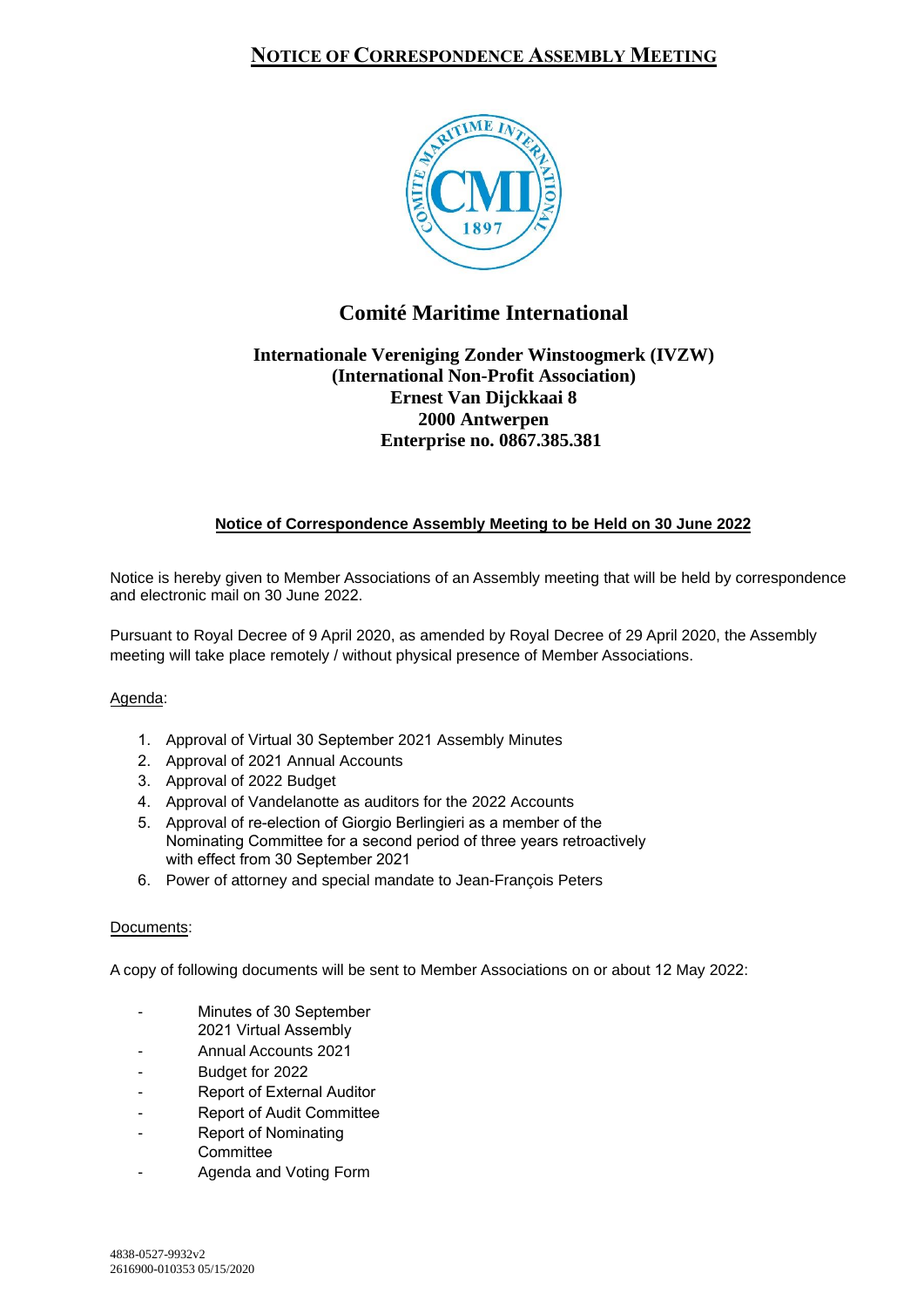## **NOTICE OF CORRESPONDENCE ASSEMBLY MEETING**



# **Comité Maritime International**

## **Internationale Vereniging Zonder Winstoogmerk (IVZW) (International Non-Profit Association) Ernest Van Dijckkaai 8 2000 Antwerpen Enterprise no. 0867.385.381**

### **Notice of Correspondence Assembly Meeting to be Held on 30 June 2022**

Notice is hereby given to Member Associations of an Assembly meeting that will be held by correspondence and electronic mail on 30 June 2022.

Pursuant to Royal Decree of 9 April 2020, as amended by Royal Decree of 29 April 2020, the Assembly meeting will take place remotely / without physical presence of Member Associations.

### Agenda:

- 1. Approval of Virtual 30 September 2021 Assembly Minutes
- 2. Approval of 2021 Annual Accounts
- 3. Approval of 2022 Budget
- 4. Approval of Vandelanotte as auditors for the 2022 Accounts
- 5. Approval of re-election of Giorgio Berlingieri as a member of the Nominating Committee for a second period of three years retroactively with effect from 30 September 2021
- 6. Power of attorney and special mandate to Jean-François Peters

#### Documents:

A copy of following documents will be sent to Member Associations on or about 12 May 2022:

- Minutes of 30 September
- 2021 Virtual Assembly
- Annual Accounts 2021
- Budget for 2022
- Report of External Auditor
- Report of Audit Committee
- Report of Nominating
- **Committee**
- Agenda and Voting Form